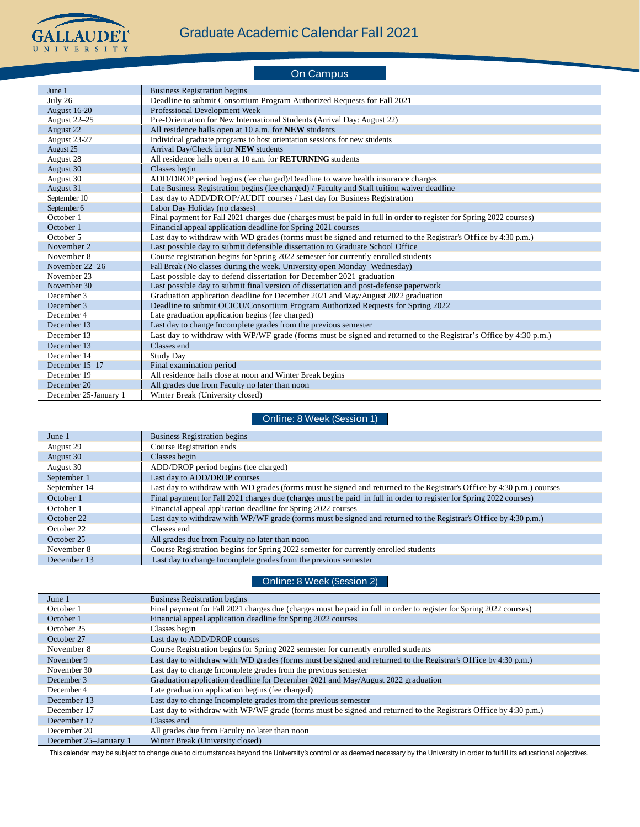

|                       | <b>On Campus</b>                                                                                                    |
|-----------------------|---------------------------------------------------------------------------------------------------------------------|
| June 1                | <b>Business Registration begins</b>                                                                                 |
| July 26               | Deadline to submit Consortium Program Authorized Requests for Fall 2021                                             |
| <b>August 16-20</b>   | Professional Development Week                                                                                       |
| August 22-25          | Pre-Orientation for New International Students (Arrival Day: August 22)                                             |
| August 22             | All residence halls open at 10 a.m. for NEW students                                                                |
| August 23-27          | Individual graduate programs to host orientation sessions for new students                                          |
| August 25             | Arrival Day/Check in for NEW students                                                                               |
| August 28             | All residence halls open at 10 a.m. for <b>RETURNING</b> students                                                   |
| August 30             | Classes begin                                                                                                       |
| August 30             | ADD/DROP period begins (fee charged)/Deadline to waive health insurance charges                                     |
| August 31             | Late Business Registration begins (fee charged) / Faculty and Staff tuition waiver deadline                         |
| September 10          | Last day to ADD/DROP/AUDIT courses / Last day for Business Registration                                             |
| September 6           | Labor Day Holiday (no classes)                                                                                      |
| October 1             | Final payment for Fall 2021 charges due (charges must be paid in full in order to register for Spring 2022 courses) |
| October 1             | Financial appeal application deadline for Spring 2021 courses                                                       |
| October 5             | Last day to withdraw with WD grades (forms must be signed and returned to the Registrar's Office by 4:30 p.m.)      |
| November 2            | Last possible day to submit defensible dissertation to Graduate School Office                                       |
| November 8            | Course registration begins for Spring 2022 semester for currently enrolled students                                 |
| November 22-26        | Fall Break (No classes during the week. University open Monday-Wednesday)                                           |
| November 23           | Last possible day to defend dissertation for December 2021 graduation                                               |
| November 30           | Last possible day to submit final version of dissertation and post-defense paperwork                                |
| December 3            | Graduation application deadline for December 2021 and May/August 2022 graduation                                    |
| December 3            | Deadline to submit OCICU/Consortium Program Authorized Requests for Spring 2022                                     |
| December 4            | Late graduation application begins (fee charged)                                                                    |
| December 13           | Last day to change Incomplete grades from the previous semester                                                     |
| December 13           | Last day to withdraw with WP/WF grade (forms must be signed and returned to the Registrar's Office by 4:30 p.m.)    |
| December 13           | Classes end                                                                                                         |
| December 14           | <b>Study Day</b>                                                                                                    |
| December 15-17        | Final examination period                                                                                            |
| December 19           | All residence halls close at noon and Winter Break begins                                                           |
| December 20           | All grades due from Faculty no later than noon                                                                      |
| December 25-January 1 | Winter Break (University closed)                                                                                    |

## Online: 8 Week (Session 1)

| June 1       | <b>Business Registration begins</b>                                                                                    |
|--------------|------------------------------------------------------------------------------------------------------------------------|
| August 29    | <b>Course Registration ends</b>                                                                                        |
| August 30    | Classes begin                                                                                                          |
| August 30    | ADD/DROP period begins (fee charged)                                                                                   |
| September 1  | Last day to ADD/DROP courses                                                                                           |
| September 14 | Last day to withdraw with WD grades (forms must be signed and returned to the Registrar's Office by 4:30 p.m.) courses |
| October 1    | Final payment for Fall 2021 charges due (charges must be paid in full in order to register for Spring 2022 courses)    |
| October 1    | Financial appeal application deadline for Spring 2022 courses                                                          |
| October 22   | Last day to withdraw with WP/WF grade (forms must be signed and returned to the Registrar's Office by 4:30 p.m.)       |
| October 22   | Classes end                                                                                                            |
| October 25   | All grades due from Faculty no later than noon                                                                         |
| November 8   | Course Registration begins for Spring 2022 semester for currently enrolled students                                    |
| December 13  | Last day to change Incomplete grades from the previous semester                                                        |

## Online: 8 Week (Session 2)

| June 1                | <b>Business Registration begins</b>                                                                                 |
|-----------------------|---------------------------------------------------------------------------------------------------------------------|
| October 1             | Final payment for Fall 2021 charges due (charges must be paid in full in order to register for Spring 2022 courses) |
| October 1             | Financial appeal application deadline for Spring 2022 courses                                                       |
| October 25            | Classes begin                                                                                                       |
| October 27            | Last day to ADD/DROP courses                                                                                        |
| November 8            | Course Registration begins for Spring 2022 semester for currently enrolled students                                 |
| November 9            | Last day to withdraw with WD grades (forms must be signed and returned to the Registrar's Office by 4:30 p.m.)      |
| November 30           | Last day to change Incomplete grades from the previous semester                                                     |
| December 3            | Graduation application deadline for December 2021 and May/August 2022 graduation                                    |
| December 4            | Late graduation application begins (fee charged)                                                                    |
| December 13           | Last day to change Incomplete grades from the previous semester                                                     |
| December 17           | Last day to withdraw with WP/WF grade (forms must be signed and returned to the Registrar's Office by 4:30 p.m.)    |
| December 17           | Classes end                                                                                                         |
| December 20           | All grades due from Faculty no later than noon                                                                      |
| December 25–January 1 | Winter Break (University closed)                                                                                    |

This calendar may be subject to change due to circumstances beyond the University's control or as deemed necessary by the University in order to fulfill its educational objectives.